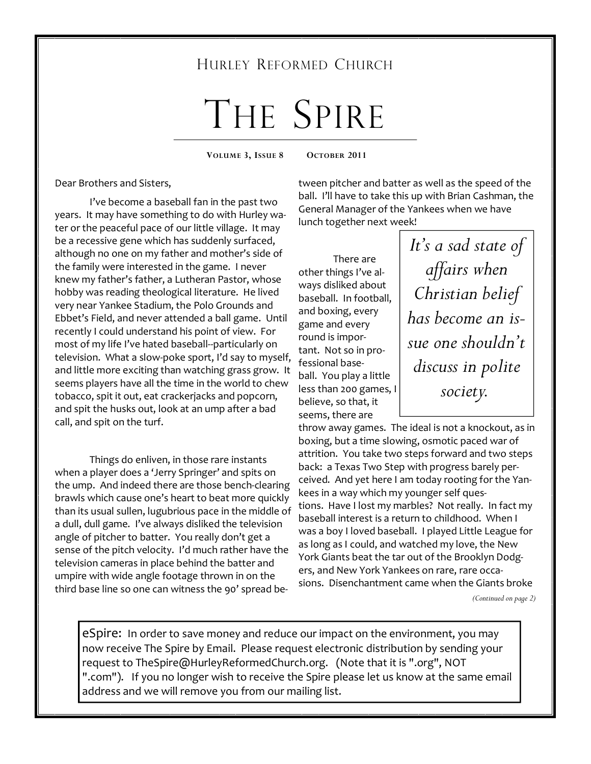# HURLEY REFORMED CHURCH

# THE SPIRE

**VOLUME 3, ISSUE 8 OCTOBER 2011** 

Dear Brothers and Sisters,

 I've become a baseball fan in the past two years. It may have something to do with Hurley water or the peaceful pace of our little village. It may be a recessive gene which has suddenly surfaced, although no one on my father and mother's side of the family were interested in the game. I never knew my father's father, a Lutheran Pastor, whose hobby was reading theological literature. He lived very near Yankee Stadium, the Polo Grounds and Ebbet's Field, and never attended a ball game. Until recently I could understand his point of view. For most of my life I've hated baseball--particularly on television. What a slow-poke sport, I'd say to myself, and little more exciting than watching grass grow. It seems players have all the time in the world to chew tobacco, spit it out, eat crackerjacks and popcorn, and spit the husks out, look at an ump after a bad call, and spit on the turf.

 Things do enliven, in those rare instants when a player does a 'Jerry Springer' and spits on the ump. And indeed there are those bench-clearing brawls which cause one's heart to beat more quickly than its usual sullen, lugubrious pace in the middle of a dull, dull game. I've always disliked the television angle of pitcher to batter. You really don't get a sense of the pitch velocity. I'd much rather have the television cameras in place behind the batter and umpire with wide angle footage thrown in on the third base line so one can witness the 90' spread be-

tween pitcher and batter as well as the speed of the ball. I'll have to take this up with Brian Cashman, the General Manager of the Yankees when we have lunch together next week!

There are other things I've always disliked about baseball. In football, and boxing, every game and every round is important. Not so in professional baseball. You play a little less than 200 games, I believe, so that, it seems, there are

*It's a sad state of affairs when Christian belief has become an issue one shouldn't discuss in polite society.* 

throw away games. The ideal is not a knockout, as in boxing, but a time slowing, osmotic paced war of attrition. You take two steps forward and two steps back: a Texas Two Step with progress barely perceived. And yet here I am today rooting for the Yankees in a way which my younger self questions. Have I lost my marbles? Not really. In fact my baseball interest is a return to childhood. When I was a boy I loved baseball. I played Little League for as long as I could, and watched my love, the New York Giants beat the tar out of the Brooklyn Dodgers, and New York Yankees on rare, rare occasions. Disenchantment came when the Giants broke

*(Continued on page 2)* 

eSpire: In order to save money and reduce our impact on the environment, you may now receive The Spire by Email. Please request electronic distribution by sending your request to TheSpire@HurleyReformedChurch.org. (Note that it is ".org", NOT ".com"). If you no longer wish to receive the Spire please let us know at the same email address and we will remove you from our mailing list.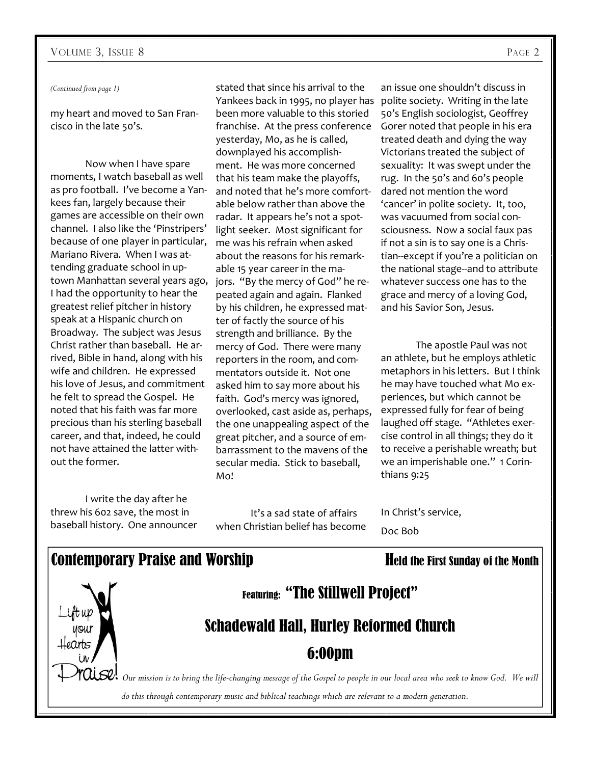*(Continued from page 1)* 

my heart and moved to San Francisco in the late 50's.

 Now when I have spare moments, I watch baseball as well as pro football. I've become a Yankees fan, largely because their games are accessible on their own channel. I also like the 'Pinstripers' because of one player in particular, Mariano Rivera. When I was attending graduate school in uptown Manhattan several years ago, I had the opportunity to hear the greatest relief pitcher in history speak at a Hispanic church on Broadway. The subject was Jesus Christ rather than baseball. He arrived, Bible in hand, along with his wife and children. He expressed his love of Jesus, and commitment he felt to spread the Gospel. He noted that his faith was far more precious than his sterling baseball career, and that, indeed, he could not have attained the latter without the former.

stated that since his arrival to the Yankees back in 1995, no player has polite society. Writing in the late been more valuable to this storied franchise. At the press conference yesterday, Mo, as he is called, downplayed his accomplishment. He was more concerned that his team make the playoffs, and noted that he's more comfortable below rather than above the radar. It appears he's not a spotlight seeker. Most significant for me was his refrain when asked about the reasons for his remarkable 15 year career in the majors. "By the mercy of God" he repeated again and again. Flanked by his children, he expressed matter of factly the source of his strength and brilliance. By the mercy of God. There were many reporters in the room, and commentators outside it. Not one asked him to say more about his faith. God's mercy was ignored, overlooked, cast aside as, perhaps, the one unappealing aspect of the great pitcher, and a source of embarrassment to the mavens of the secular media. Stick to baseball, Mo!

I write the day after he threw his 602 save, the most in baseball history. One announcer

It's a sad state of affairs when Christian belief has become

an issue one shouldn't discuss in 50's English sociologist, Geoffrey Gorer noted that people in his era treated death and dying the way Victorians treated the subject of sexuality: It was swept under the rug. In the 50's and 60's people dared not mention the word 'cancer' in polite society. It, too, was vacuumed from social consciousness. Now a social faux pas if not a sin is to say one is a Christian--except if you're a politician on the national stage--and to attribute whatever success one has to the grace and mercy of a loving God, and his Savior Son, Jesus.

The apostle Paul was not an athlete, but he employs athletic metaphors in his letters. But I think he may have touched what Mo experiences, but which cannot be expressed fully for fear of being laughed off stage. "Athletes exercise control in all things; they do it to receive a perishable wreath; but we an imperishable one." 1 Corinthians 9:25

In Christ's service, Doc Bob

#### Contemporary Praise and Worship Held the First Sunday of the Month

Featuring: "The Stillwell Project"

# Schadewald Hall, Hurley Reformed Church

## 6:00pm

*Our mission is to bring the life-changing message of the Gospel to people in our local area who seek to know God. We will do this through contemporary music and biblical teachings which are relevant to a modern generation.*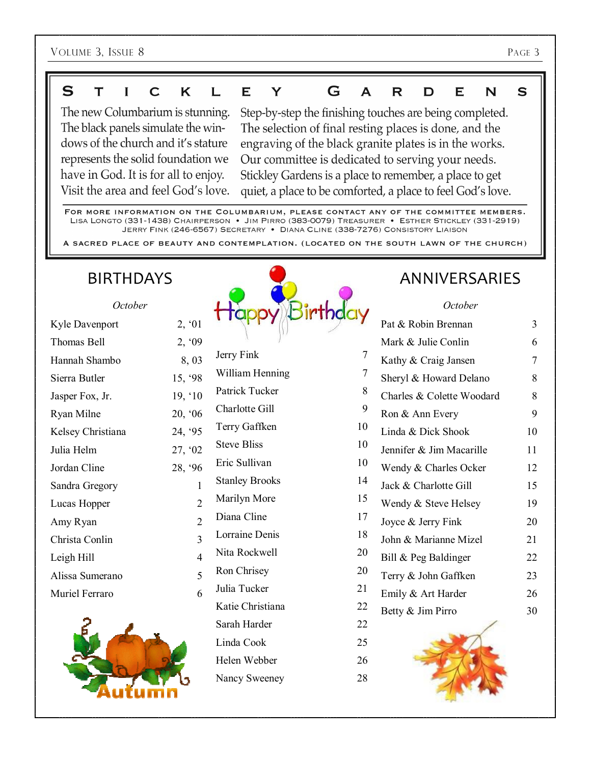#### $\mathbf S$ K E Y G A T  $\mathbf I$  $\overline{\mathbf{C}}$ L R D E N S

The new Columbarium is stunning. The black panels simulate the windows of the church and it's stature represents the solid foundation we have in God. It is for all to enjoy. Visit the area and feel God's love.

Step-by-step the finishing touches are being completed. The selection of final resting places is done, and the engraving of the black granite plates is in the works. Our committee is dedicated to serving your needs. Stickley Gardens is a place to remember, a place to get quiet, a place to be comforted, a place to feel God's love.

FOR MORE INFORMATION ON THE COLUMBARIUM, PLEASE CONTACT ANY OF THE COMMITTEE MEMBERS. LISA LONGTO (331-1438) CHAIRPERSON . JIM PIRRO (383-0079) TREASURER . ESTHER STICKLEY (331-2919) JERRY FINK (246-6567) SECRETARY . DIANA CLINE (338-7276) CONSISTORY LIAISON

A SACRED PLACE OF BEAUTY AND CONTEMPLATION. (LOCATED ON THE SOUTH LAWN OF THE CHURCH)

# BIRTHDAYS

| October           |                |
|-------------------|----------------|
| Kyle Davenport    | 2, '01         |
| Thomas Bell       | 2, '09         |
| Hannah Shambo     | 8,03           |
| Sierra Butler     | 15, '98        |
| Jasper Fox, Jr.   | 19, '10        |
| Ryan Milne        | 20, '06        |
| Kelsey Christiana | 24, '95        |
| Julia Helm        | 27, '02        |
| Jordan Cline      | 28, '96        |
| Sandra Gregory    | 1              |
| Lucas Hopper      | $\overline{2}$ |
| Amy Ryan          | $\overline{2}$ |
| Christa Conlin    | 3              |
| Leigh Hill        | 4              |
| Alissa Sumerano   | 5              |
| Muriel Ferraro    | 6              |
|                   |                |





# ANNIVERSARIES

#### *October*

|                       |                | Pat & Robin Brennan       | $\overline{3}$ |
|-----------------------|----------------|---------------------------|----------------|
|                       |                | Mark & Julie Conlin       | 6              |
| Jerry Fink            | $\overline{7}$ | Kathy & Craig Jansen      | 7              |
| William Henning       | 7              | Sheryl & Howard Delano    | 8              |
| Patrick Tucker        | 8              | Charles & Colette Woodard | 8              |
| Charlotte Gill        | 9              | Ron & Ann Every           | 9              |
| Terry Gaffken         | 10             | Linda & Dick Shook        | 10             |
| <b>Steve Bliss</b>    | 10             | Jennifer & Jim Macarille  | 11             |
| Eric Sullivan         | 10             | Wendy & Charles Ocker     | 12             |
| <b>Stanley Brooks</b> | 14             | Jack & Charlotte Gill     | 15             |
| Marilyn More          | 15             | Wendy & Steve Helsey      | 19             |
| Diana Cline           | 17             | Joyce & Jerry Fink        | 20             |
| Lorraine Denis        | 18             | John & Marianne Mizel     | 21             |
| Nita Rockwell         | 20             | Bill & Peg Baldinger      | 22             |
| Ron Chrisey           | 20             | Terry & John Gaffken      | 23             |
| Julia Tucker          | 21             | Emily & Art Harder        | 26             |
| Katie Christiana      | 22             | Betty & Jim Pirro         | 30             |
| Sarah Harder          | 22             |                           |                |
| Linda Cook            | 25             |                           |                |
| Helen Webber          | 26             |                           |                |
| Nancy Sweeney         | 28             |                           |                |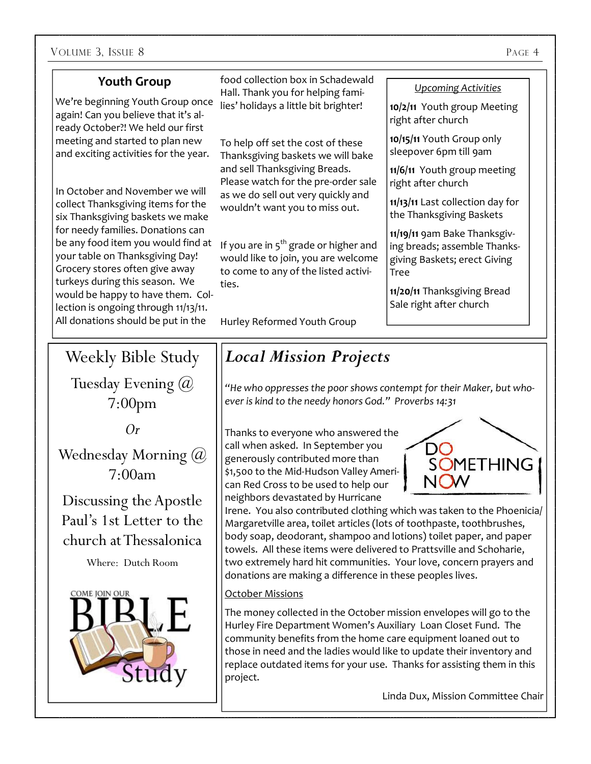#### **Youth Group**

We're beginning Youth Group once again! Can you believe that it's already October?! We held our first meeting and started to plan new and exciting activities for the year.

In October and November we will collect Thanksgiving items for the six Thanksgiving baskets we make for needy families. Donations can be any food item you would find at your table on Thanksgiving Day! Grocery stores often give away turkeys during this season. We would be happy to have them. Collection is ongoing through 11/13/11. All donations should be put in the

food collection box in Schadewald Hall. Thank you for helping families' holidays a little bit brighter!

To help off set the cost of these Thanksgiving baskets we will bake and sell Thanksgiving Breads. Please watch for the pre-order sale as we do sell out very quickly and wouldn't want you to miss out.

If you are in  $5<sup>th</sup>$  grade or higher and would like to join, you are welcome to come to any of the listed activities.

Hurley Reformed Youth Group

#### *Upcoming Activities*

**10/2/11** Youth group Meeting right after church

**10/15/11** Youth Group only sleepover 6pm till 9am

**11/6/11** Youth group meeting right after church

**11/13/11** Last collection day for the Thanksgiving Baskets

**11/19/11** 9am Bake Thanksgiving breads; assemble Thanksgiving Baskets; erect Giving Tree

**11/20/11** Thanksgiving Bread Sale right after church

Weekly Bible Study Tuesday Evening @ 7:00pm

*Or* 

Wednesday Morning (*a*) 7:00am

Discussing the Apostle Paul's 1st Letter to the church at Thessalonica

Where: Dutch Room



# *Local Mission Projects*

*"He who oppresses the poor shows contempt for their Maker, but whoever is kind to the needy honors God." Proverbs 14:31* 

Thanks to everyone who answered the call when asked. In September you generously contributed more than \$1,500 to the Mid-Hudson Valley American Red Cross to be used to help our neighbors devastated by Hurricane



Irene. You also contributed clothing which was taken to the Phoenicia/ Margaretville area, toilet articles (lots of toothpaste, toothbrushes, body soap, deodorant, shampoo and lotions) toilet paper, and paper towels. All these items were delivered to Prattsville and Schoharie, two extremely hard hit communities. Your love, concern prayers and donations are making a difference in these peoples lives.

#### October Missions

The money collected in the October mission envelopes will go to the Hurley Fire Department Women's Auxiliary Loan Closet Fund. The community benefits from the home care equipment loaned out to those in need and the ladies would like to update their inventory and replace outdated items for your use. Thanks for assisting them in this project.

Linda Dux, Mission Committee Chair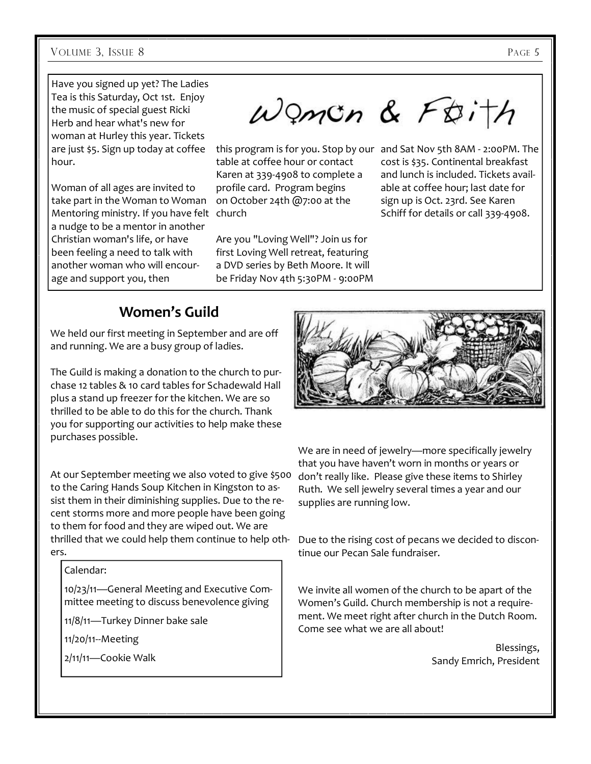Have you signed up yet? The Ladies Tea is this Saturday, Oct 1st. Enjoy the music of special guest Ricki Herb and hear what's new for woman at Hurley this year. Tickets are just \$5. Sign up today at coffee hour.

Woman of all ages are invited to take part in the Woman to Woman Mentoring ministry. If you have felt church a nudge to be a mentor in another Christian woman's life, or have been feeling a need to talk with another woman who will encourage and support you, then

Woman & Foith

this program is for you. Stop by our and Sat Nov 5th 8AM - 2:00PM. The table at coffee hour or contact Karen at 339-4908 to complete a profile card. Program begins on October 24th @7:00 at the

Are you "Loving Well"? Join us for first Loving Well retreat, featuring a DVD series by Beth Moore. It will be Friday Nov 4th 5:30PM - 9:00PM cost is \$35. Continental breakfast and lunch is included. Tickets available at coffee hour; last date for sign up is Oct. 23rd. See Karen Schiff for details or call 339-4908.

### **Women's Guild**

We held our first meeting in September and are off and running. We are a busy group of ladies.

The Guild is making a donation to the church to purchase 12 tables & 10 card tables for Schadewald Hall plus a stand up freezer for the kitchen. We are so thrilled to be able to do this for the church. Thank you for supporting our activities to help make these purchases possible.

At our September meeting we also voted to give \$500 to the Caring Hands Soup Kitchen in Kingston to assist them in their diminishing supplies. Due to the recent storms more and more people have been going to them for food and they are wiped out. We are thrilled that we could help them continue to help others.

#### Calendar:

10/23/11—General Meeting and Executive Committee meeting to discuss benevolence giving

11/8/11—Turkey Dinner bake sale

11/20/11--Meeting

2/11/11—Cookie Walk



We are in need of jewelry—more specifically jewelry that you have haven't worn in months or years or don't really like. Please give these items to Shirley Ruth. We sell jewelry several times a year and our supplies are running low.

Due to the rising cost of pecans we decided to discontinue our Pecan Sale fundraiser.

We invite all women of the church to be apart of the Women's Guild. Church membership is not a requirement. We meet right after church in the Dutch Room. Come see what we are all about!

> Blessings, Sandy Emrich, President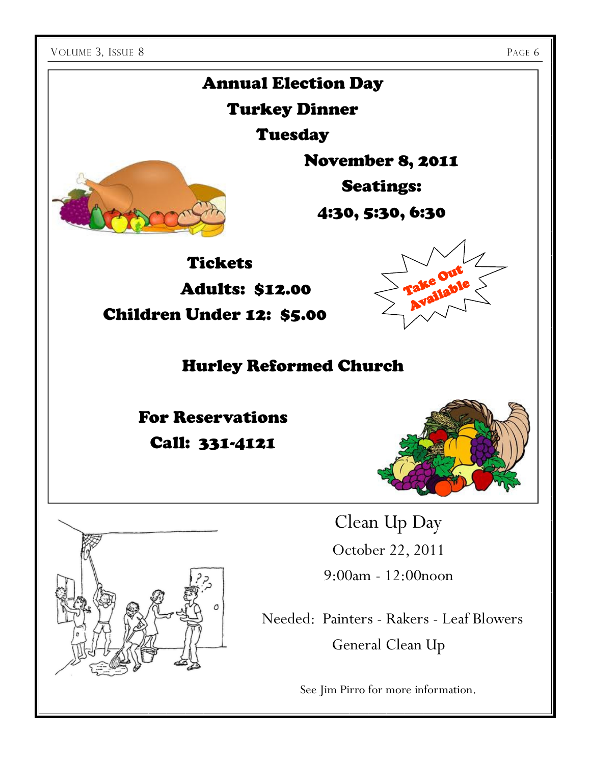# Annual Election Day

# Turkey Dinner

Tuesday

November 8, 2011

Seatings:

4:30, 5:30, 6:30

**Tickets** Adults: \$12.00

Children Under 12: \$5.00

Hurley Reformed Church

For Reservations Call: 331-4121



Take Out Take Out<br>Available rake<br>Available



Clean Up Day October 22, 2011 9:00am - 12:00noon

 Needed: Painters - Rakers - Leaf Blowers General Clean Up

See Jim Pirro for more information.